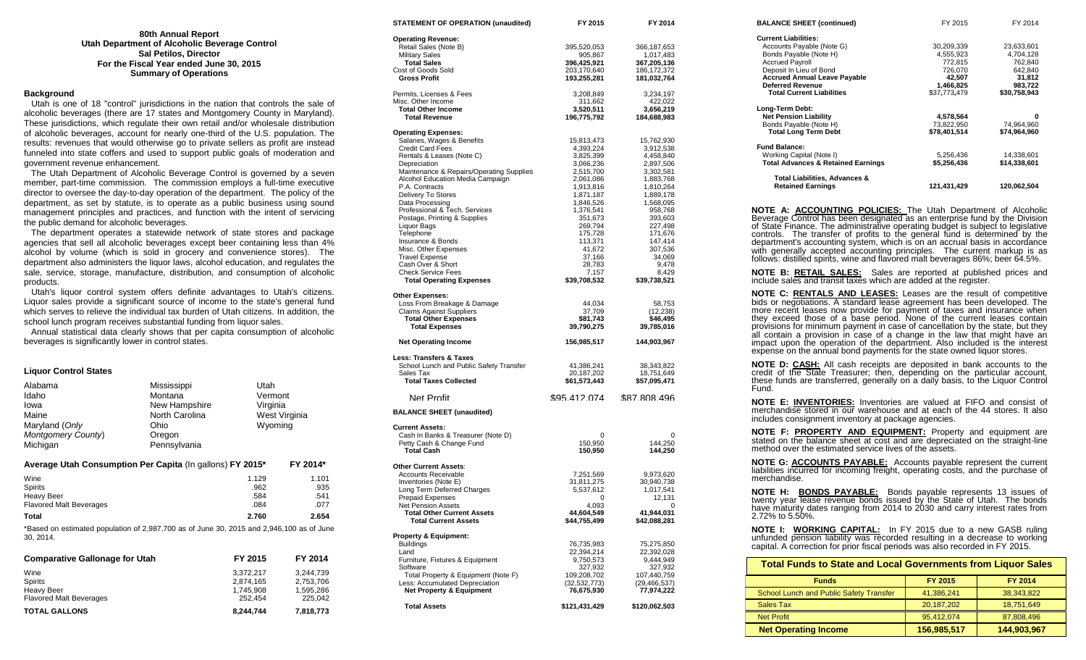| 80th Annual Report                            |
|-----------------------------------------------|
| Utah Department of Alcoholic Beverage Control |
| <b>Sal Petilos, Director</b>                  |
| For the Fiscal Year ended June 30, 2015       |
| <b>Summary of Operations</b>                  |

#### **Background**

 Utah is one of 18 "control" jurisdictions in the nation that controls the sale of alcoholic beverages (there are 17 states and Montgomery County in Maryland). These jurisdictions, which regulate their own retail and/or wholesale distribution of alcoholic beverages, account for nearly one-third of the U.S. population. The results: revenues that would otherwise go to private sellers as profit are instead funneled into state coffers and used to support public goals of moderation and government revenue enhancement.

 The Utah Department of Alcoholic Beverage Control is governed by a seven member, part-time commission. The commission employs a full-time executive director to oversee the day-to-day operation of the department. The policy of the department, as set by statute, is to operate as a public business using sound management principles and practices, and function with the intent of servicing the public demand for alcoholic beverages.

 The department operates a statewide network of state stores and package agencies that sell all alcoholic beverages except beer containing less than 4% alcohol by volume (which is sold in grocery and convenience stores). The department also administers the liquor laws, alcohol education, and regulates the sale, service, storage, manufacture, distribution, and consumption of alcoholic products.

 Utah's liquor control system offers definite advantages to Utah's citizens. Liquor sales provide a significant source of income to the state's general fund which serves to relieve the individual tax burden of Utah citizens. In addition, the school lunch program receives substantial funding from liquor sales.

 Annual statistical data clearly shows that per capita consumption of alcoholic beverages is significantly lower in control states.

| <b>Liquor Control States</b>                                                                          |                |              |               |
|-------------------------------------------------------------------------------------------------------|----------------|--------------|---------------|
| Alabama                                                                                               | Mississippi    | Utah         |               |
| Idaho                                                                                                 | Montana        | Vermont      |               |
| lowa                                                                                                  | New Hampshire  | Virginia     |               |
| Maine                                                                                                 | North Carolina |              | West Virginia |
| Maryland (Only                                                                                        | Ohio           | Wyoming      |               |
| Montgomery County)                                                                                    | Oregon         |              |               |
| Michigan                                                                                              | Pennsylvania   |              |               |
| Average Utah Consumption Per Capita (In gallons) FY 2015*                                             |                |              | FY 2014*      |
| Wine                                                                                                  |                | 1.129        | 1.101         |
| Spirits                                                                                               |                | .962         | .935          |
| <b>Heavy Beer</b>                                                                                     |                | .584<br>.084 | .541          |
| <b>Flavored Malt Beverages</b>                                                                        |                |              | .077          |
| Total                                                                                                 |                | 2.760        | 2.654         |
| *Based on estimated population of 2,987,700 as of June 30, 2015 and 2,946,100 as of June<br>30, 2014. |                |              |               |
| <b>Comparative Gallonage for Utah</b>                                                                 |                | FY 2015      | FY 2014       |
| Wine                                                                                                  |                | 3,372,217    | 3,244,739     |
| Spirits                                                                                               |                | 2,874,165    | 2,753,706     |
| <b>Heavy Beer</b>                                                                                     |                | 1,745,908    | 1,595,286     |
| <b>Flavored Malt Beverages</b>                                                                        |                | 252.454      | 225,042       |

Flavored Malt Beverages 252,454 225,042 **TOTAL GALLONS 8,244,744 7,818,773**

| STATEMENT OF OPERATION (unaudited)                       | FY 2015                    | FY 2014                      |
|----------------------------------------------------------|----------------------------|------------------------------|
| <b>Operating Revenue:</b>                                |                            |                              |
| Retail Sales (Note B)                                    | 395,520,053                | 366, 187, 653                |
| <b>Military Sales</b>                                    | 905,867                    | 1,017,483                    |
| <b>Total Sales</b>                                       | 396,425,921                | 367,205,136                  |
| Cost of Goods Sold<br><b>Gross Profit</b>                | 203,170,640<br>193,255,281 | 186, 172, 372<br>181,032,764 |
| Permits, Licenses & Fees                                 | 3,208,849                  | 3,234,197                    |
| Misc. Other Income                                       | 311,662                    | 422,022                      |
| <b>Total Other Income</b>                                | 3,520,511                  | 3,656,219                    |
| <b>Total Revenue</b>                                     | 196,775,792                | 184,688,983                  |
| <b>Operating Expenses:</b>                               |                            |                              |
| Salaries, Wages & Benefits                               | 15,813,473                 | 15,762,930                   |
| <b>Credit Card Fees</b>                                  | 4,393,224                  | 3,912,538                    |
| Rentals & Leases (Note C)                                | 3,825,399                  | 4,458,840                    |
| Depreciation<br>Maintenance & Repairs/Operating Supplies | 3,066,236                  | 2,897,506                    |
| Alcohol Education Media Campaign                         | 2,515,700<br>2,061,086     | 3,302,581<br>1,883,768       |
| P.A. Contracts                                           | 1,913,816                  | 1,810,264                    |
| Delivery To Stores                                       | 1,871,187                  | 1,889,178                    |
| Data Processing                                          | 1,846,526                  | 1,568,095                    |
| Professional & Tech. Services                            | 1,376,541                  | 958,768                      |
| Postage, Printing & Supplies                             | 351,673                    | 393,603                      |
| Liquor Bags                                              | 269,794                    | 227,498                      |
| Telephone                                                | 175,728                    | 171,676                      |
| Insurance & Bonds                                        | 113,371                    | 147,414                      |
| Misc. Other Expenses                                     | 41,672                     | 307,536                      |
| <b>Travel Expense</b>                                    | 37,166                     | 34,069                       |
| Cash Over & Short<br><b>Check Service Fees</b>           | 28,783<br>7,157            | 9,478<br>8,429               |
| <b>Total Operating Expenses</b>                          | \$39,708,532               | \$39,738,521                 |
| <b>Other Expenses:</b>                                   |                            |                              |
| Loss From Breakage & Damage                              | 44,034                     | 58,753                       |
| <b>Claims Against Suppliers</b>                          | 37,709                     | (12, 238)                    |
| <b>Total Other Expenses</b><br><b>Total Expenses</b>     | \$81,743<br>39,790,275     | \$46,495<br>39,785,016       |
| <b>Net Operating Income</b>                              | 156,985,517                | 144,903,967                  |
| <b>Less: Transfers &amp; Taxes</b>                       |                            |                              |
| School Lunch and Public Safety Transfer                  | 41,386,241                 | 38,343,822                   |
| Sales Tax                                                | 20,187,202                 | 18,751,649                   |
| <b>Total Taxes Collected</b>                             | \$61,573,443               | \$57,095,471                 |
| Net Profit                                               | \$95 412 074               | \$87,808,496                 |
| <b>BALANCE SHEET (unaudited)</b>                         |                            |                              |
| <b>Current Assets:</b>                                   |                            |                              |
| Cash In Banks & Treasurer (Note D)                       | 0                          | 0                            |
| Petty Cash & Change Fund                                 | 150,950                    | 144,250                      |
| Total Cash                                               | 150,950                    | 144,250                      |
| <b>Other Current Assets:</b>                             |                            |                              |
| <b>Accounts Receivable</b>                               | 7,251,569                  | 9,973,620                    |
| Inventories (Note E)                                     | 31,811,275                 | 30,940,738                   |
| Long Term Deferred Charges<br><b>Prepaid Expenses</b>    | 5,537,612<br>0             | 1,017,541<br>12,131          |
| <b>Net Pension Assets</b>                                | 4,093                      | 0                            |
| <b>Total Other Current Assets</b>                        | 44,604,549                 | 41,944,031                   |
| Total Current Assets                                     | \$44,755,499               | \$42,088,281                 |
| <b>Property &amp; Equipment:</b>                         |                            |                              |
| Buildings                                                | 76,735,983                 | 75,275,850                   |
| Land                                                     | 22,394,214                 | 22,392,028                   |
| Furniture, Fixtures & Equipment<br>Software              | 9,750,573                  | 9,444,949                    |
| Total Property & Equipment (Note F)                      | 327,932<br>109,208,702     | 327,932<br>107,440,759       |
| Less: Accumulated Depreciation                           | (32, 532, 773)             | (29, 466, 537)               |
| <b>Net Property &amp; Equipment</b>                      | 76,675,930                 | 77,974,222                   |
| <b>Total Assets</b>                                      | \$121,431,429              | \$120,062,503                |
|                                                          |                            |                              |

| <b>Total Funds to State and Local Governments from Liquor Sales</b>                                                                                                                                                                                                                                                                                                                                                                                                                                                                                                                                                           |                                    |                                                                                          |
|-------------------------------------------------------------------------------------------------------------------------------------------------------------------------------------------------------------------------------------------------------------------------------------------------------------------------------------------------------------------------------------------------------------------------------------------------------------------------------------------------------------------------------------------------------------------------------------------------------------------------------|------------------------------------|------------------------------------------------------------------------------------------|
|                                                                                                                                                                                                                                                                                                                                                                                                                                                                                                                                                                                                                               |                                    |                                                                                          |
| unfunded pension liability was recorded resulting in a decrease to working<br>capital. A correction for prior fiscal periods was also recorded in FY 2015.                                                                                                                                                                                                                                                                                                                                                                                                                                                                    |                                    |                                                                                          |
| twenty year lease revenue bonds issued by the State of Utah. The bonds<br>have maturity dates ranging from 2014 to 2030 and carry interest rates from<br>2.72% to 5.50%.<br><b>NOTE I: WORKING CAPITAL:</b> In FY 2015 due to a new GASB ruling                                                                                                                                                                                                                                                                                                                                                                               |                                    |                                                                                          |
| NOTE G: ACCOUNTS PAYABLE: Accounts payable represent the current<br>liabilities incurred for incoming freight, operating costs, and the purchase of<br>merchandise.<br><b>BONDS PAYABLE:</b> Bonds payable represents 13 issues of<br>NOTE H:                                                                                                                                                                                                                                                                                                                                                                                 |                                    |                                                                                          |
| NOTE F: PROPERTY AND EQUIPMENT: Property and equipment are<br>stated on the balance sheet at cost and are depreciated on the straight-line<br>method over the estimated service lives of the assets.                                                                                                                                                                                                                                                                                                                                                                                                                          |                                    |                                                                                          |
| <b>NOTE E: INVENTORIES:</b> Inventories are valued at FIFO and consist of<br>merchandise stored in our warehouse and at each of the 44 stores. It also<br>includes consignment inventory at package agencies.                                                                                                                                                                                                                                                                                                                                                                                                                 |                                    |                                                                                          |
| <b>NOTE D: CASH:</b> All cash receipts are deposited in bank accounts to the<br>credit of the State Treasurer, then, depending on the particular account,<br>these funds are transferred, generally on a daily basis, to the Liquor Control<br>Fund.                                                                                                                                                                                                                                                                                                                                                                          |                                    |                                                                                          |
| <b>NOTE C: RENTALS AND LEASES:</b> Leases are the result of competitive<br>bids or negotiations. A standard lease agreement has been developed. The<br>more recent leases now provide for payment of taxes and insurance when<br>they exceed those of a base period. None of the current leases contain<br>provisions for minimum payment in case of cancellation by the state, but they<br>all contain a provision in case of a change in the law that might have an<br>impact upon the operation of the department. Also included is the interest<br>expense on the annual bond payments for the state owned liquor stores. |                                    |                                                                                          |
| NOTE B: RETAIL SALES: Sales are reported at published prices and<br>include sales and transit taxes which are added at the register.                                                                                                                                                                                                                                                                                                                                                                                                                                                                                          |                                    |                                                                                          |
| NOTE A: ACCOUNTING POLICIES: The Utah Department of Alcoholic<br>Beverage Control has been designated as an enterprise fund by the Division<br>of State Finance. The administrative operating budget is subject to legislative<br>controls. The transfer of profits to the general fund is determined by the<br>department's accounting system, which is on an accrual basis in accordance<br>with generally accepted accounting principles. The current markup is as<br>follows: distilled spirits, wine and flavored malt beverages 86%; beer 64.5%.                                                                        |                                    |                                                                                          |
| Total Liabilities, Advances &<br><b>Retained Earnings</b>                                                                                                                                                                                                                                                                                                                                                                                                                                                                                                                                                                     |                                    | 121,431,429 120,062,504                                                                  |
| <b>Fund Balance:</b><br>Working Capital (Note I)<br><b>Total Advances &amp; Retained Earnings</b>                                                                                                                                                                                                                                                                                                                                                                                                                                                                                                                             | 5,256,436                          | 14,338,601<br>5,256,436 14,338,601<br>\$5,256,436 \$14,338,601                           |
| Long-Term Debt:<br><b>Net Pension Liability</b><br>Bonds Payable (Note H)<br><b>Total Long Term Debt</b>                                                                                                                                                                                                                                                                                                                                                                                                                                                                                                                      | 4,578,564<br>73,822,950            | 0<br>74,964,960<br>$$78,401,514$ $$74,964,960$                                           |
| <b>Accrued Annual Leave Payable</b><br><b>Deferred Revenue</b><br><b>Total Current Liabilities</b>                                                                                                                                                                                                                                                                                                                                                                                                                                                                                                                            | 726,070<br><b>42,507</b>           | $42,507$<br>$1,466,825$<br>$33,722$<br>$37,773,479$<br>$42,507$<br>$34,812$<br>$383,722$ |
| Accounts Payable (Note G)<br>Bonds Payable (Note H)<br><b>Accrued Payroll</b><br>Deposit In Lieu of Bond                                                                                                                                                                                                                                                                                                                                                                                                                                                                                                                      | 30,209,339<br>4,555,923<br>772,815 | 23,633,601<br>4,704,128<br>762,840<br>642,840                                            |
| <b>Current Liabilities:</b>                                                                                                                                                                                                                                                                                                                                                                                                                                                                                                                                                                                                   |                                    |                                                                                          |

| <b>Funds</b>                            | FY 2015      | <b>FY 2014</b> |  |
|-----------------------------------------|--------------|----------------|--|
| School Lunch and Public Safety Transfer | 41,386,241   | 38.343.822     |  |
| Sales Tax                               | 20, 187, 202 | 18,751,649     |  |
| Net Profit                              | 95.412.074   | 87,808,496     |  |
| <b>Net Operating Income</b>             | 156.985.517  | 144,903,967    |  |
|                                         |              |                |  |